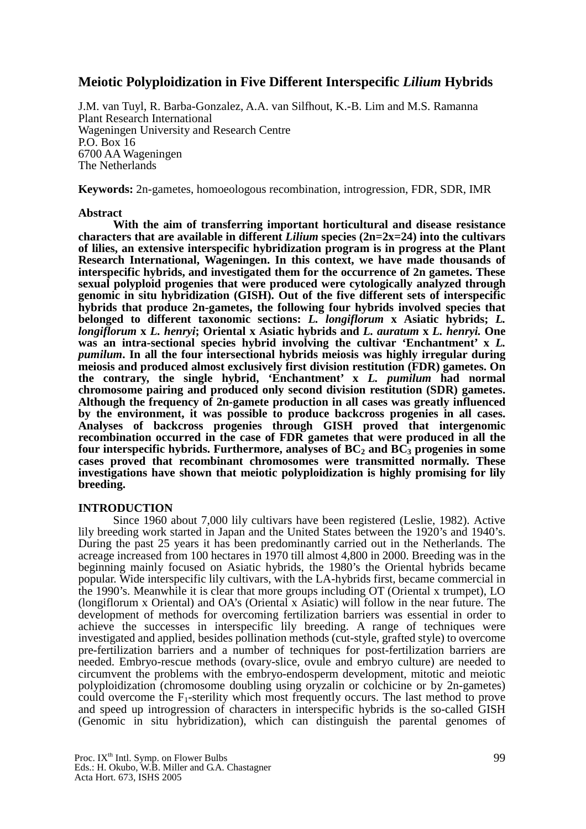# **Meiotic Polyploidization in Five Different Interspecific** *Lilium* **Hybrids**

J.M. van Tuyl, R. Barba-Gonzalez, A.A. van Silfhout, K.-B. Lim and M.S. Ramanna Plant Research International Wageningen University and Research Centre P.O. Box 16 6700 AA Wageningen The Netherlands

**Keywords:** 2n-gametes, homoeologous recombination, introgression, FDR, SDR, IMR

## **Abstract**

**With the aim of transferring important horticultural and disease resistance characters that are available in different** *Lilium* **species (2n=2x=24) into the cultivars of lilies, an extensive interspecific hybridization program is in progress at the Plant Research International, Wageningen. In this context, we have made thousands of interspecific hybrids, and investigated them for the occurrence of 2n gametes. These sexual polyploid progenies that were produced were cytologically analyzed through genomic in situ hybridization (GISH). Out of the five different sets of interspecific hybrids that produce 2n-gametes, the following four hybrids involved species that belonged to different taxonomic sections:** *L. longiflorum* **x Asiatic hybrids;** *L. longiflorum* **x** *L. henryi***; Oriental x Asiatic hybrids and** *L. auratum* **x** *L. henryi.* **One was an intra-sectional species hybrid involving the cultivar 'Enchantment' x** *L. pumilum***. In all the four intersectional hybrids meiosis was highly irregular during meiosis and produced almost exclusively first division restitution (FDR) gametes. On the contrary, the single hybrid, 'Enchantment' x** *L. pumilum* **had normal chromosome pairing and produced only second division restitution (SDR) gametes. Although the frequency of 2n-gamete production in all cases was greatly influenced by the environment, it was possible to produce backcross progenies in all cases. Analyses of backcross progenies through GISH proved that intergenomic recombination occurred in the case of FDR gametes that were produced in all the**  four interspecific hybrids. Furthermore, analyses of BC<sub>2</sub> and BC<sub>3</sub> progenies in some **cases proved that recombinant chromosomes were transmitted normally. These investigations have shown that meiotic polyploidization is highly promising for lily breeding.** 

## **INTRODUCTION**

Since 1960 about 7,000 lily cultivars have been registered (Leslie, 1982). Active lily breeding work started in Japan and the United States between the 1920's and 1940's. During the past 25 years it has been predominantly carried out in the Netherlands. The acreage increased from 100 hectares in 1970 till almost 4,800 in 2000. Breeding was in the beginning mainly focused on Asiatic hybrids, the 1980's the Oriental hybrids became popular. Wide interspecific lily cultivars, with the LA-hybrids first, became commercial in the 1990's. Meanwhile it is clear that more groups including OT (Oriental x trumpet), LO (longiflorum x Oriental) and OA's (Oriental x Asiatic) will follow in the near future. The development of methods for overcoming fertilization barriers was essential in order to achieve the successes in interspecific lily breeding. A range of techniques were investigated and applied, besides pollination methods (cut-style, grafted style) to overcome pre-fertilization barriers and a number of techniques for post-fertilization barriers are needed. Embryo-rescue methods (ovary-slice, ovule and embryo culture) are needed to circumvent the problems with the embryo-endosperm development, mitotic and meiotic polyploidization (chromosome doubling using oryzalin or colchicine or by 2n-gametes) could overcome the  $F_1$ -sterility which most frequently occurs. The last method to prove and speed up introgression of characters in interspecific hybrids is the so-called GISH (Genomic in situ hybridization), which can distinguish the parental genomes of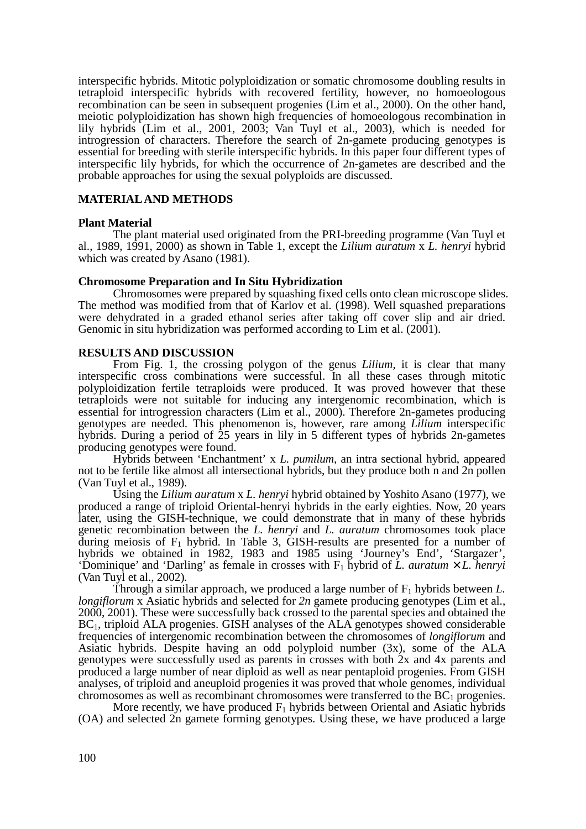interspecific hybrids. Mitotic polyploidization or somatic chromosome doubling results in tetraploid interspecific hybrids with recovered fertility, however, no homoeologous recombination can be seen in subsequent progenies (Lim et al., 2000). On the other hand, meiotic polyploidization has shown high frequencies of homoeologous recombination in lily hybrids (Lim et al., 2001, 2003; Van Tuyl et al., 2003), which is needed for introgression of characters. Therefore the search of 2n-gamete producing genotypes is essential for breeding with sterile interspecific hybrids. In this paper four different types of interspecific lily hybrids, for which the occurrence of 2n-gametes are described and the probable approaches for using the sexual polyploids are discussed.

### **MATERIAL AND METHODS**

#### **Plant Material**

The plant material used originated from the PRI-breeding programme (Van Tuyl et al., 1989, 1991, 2000) as shown in Table 1, except the *Lilium auratum* x *L. henryi* hybrid which was created by Asano (1981).

#### **Chromosome Preparation and In Situ Hybridization**

Chromosomes were prepared by squashing fixed cells onto clean microscope slides. The method was modified from that of Karlov et al. (1998). Well squashed preparations were dehydrated in a graded ethanol series after taking off cover slip and air dried. Genomic in situ hybridization was performed according to Lim et al. (2001).

#### **RESULTS AND DISCUSSION**

From Fig. 1, the crossing polygon of the genus *Lilium*, it is clear that many interspecific cross combinations were successful. In all these cases through mitotic polyploidization fertile tetraploids were produced. It was proved however that these tetraploids were not suitable for inducing any intergenomic recombination, which is essential for introgression characters (Lim et al., 2000). Therefore 2n-gametes producing genotypes are needed. This phenomenon is, however, rare among *Lilium* interspecific hybrids. During a period of 25 years in lily in 5 different types of hybrids 2n-gametes producing genotypes were found.

Hybrids between 'Enchantment' x *L. pumilum*, an intra sectional hybrid, appeared not to be fertile like almost all intersectional hybrids, but they produce both n and 2n pollen (Van Tuyl et al., 1989).

Using the *Lilium auratum* x *L. henryi* hybrid obtained by Yoshito Asano (1977), we produced a range of triploid Oriental-henryi hybrids in the early eighties. Now, 20 years later, using the GISH-technique, we could demonstrate that in many of these hybrids genetic recombination between the *L. henryi* and *L. auratum* chromosomes took place during meiosis of  $F_1$  hybrid. In Table 3, GISH-results are presented for a number of hybrids we obtained in 1982, 1983 and 1985 using 'Journey's End', 'Stargazer', 'Dominique' and 'Darling' as female in crosses with  $F_1$  hybrid of *L. auratum*  $\times$  *L. henryi* (Van Tuyl et al., 2002)*.*

Through a similar approach, we produced a large number of  $F_1$  hybrids between  $L$ . *longiflorum* x Asiatic hybrids and selected for 2n gamete producing genotypes (Lim et al., 2000, 2001). These were successfully back crossed to the parental species and obtained the BC1, triploid ALA progenies. GISH analyses of the ALA genotypes showed considerable frequencies of intergenomic recombination between the chromosomes of *longiflorum* and Asiatic hybrids. Despite having an odd polyploid number (3x), some of the ALA genotypes were successfully used as parents in crosses with both 2x and 4x parents and produced a large number of near diploid as well as near pentaploid progenies. From GISH analyses, of triploid and aneuploid progenies it was proved that whole genomes, individual chromosomes as well as recombinant chromosomes were transferred to the  $BC_1$  progenies.

More recently, we have produced  $F_1$  hybrids between Oriental and Asiatic hybrids (OA) and selected 2n gamete forming genotypes. Using these, we have produced a large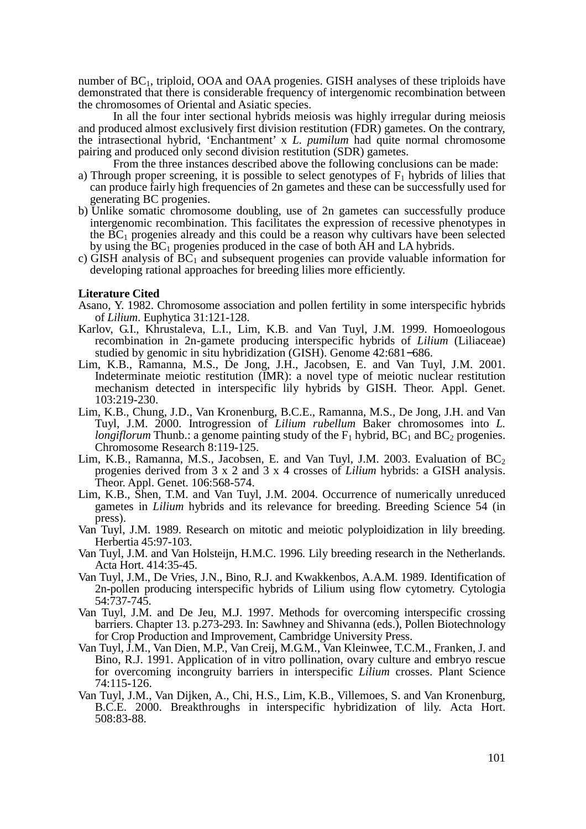number of BC1, triploid, OOA and OAA progenies. GISH analyses of these triploids have demonstrated that there is considerable frequency of intergenomic recombination between the chromosomes of Oriental and Asiatic species.

In all the four inter sectional hybrids meiosis was highly irregular during meiosis and produced almost exclusively first division restitution (FDR) gametes. On the contrary, the intrasectional hybrid, 'Enchantment' x *L. pumilum* had quite normal chromosome pairing and produced only second division restitution (SDR) gametes.

From the three instances described above the following conclusions can be made:

- a) Through proper screening, it is possible to select genotypes of  $F_1$  hybrids of lilies that can produce fairly high frequencies of 2n gametes and these can be successfully used for generating BC progenies.
- b) Unlike somatic chromosome doubling, use of 2n gametes can successfully produce intergenomic recombination. This facilitates the expression of recessive phenotypes in the  $BC_1$  progenies already and this could be a reason why cultivars have been selected by using the  $BC_1$  progenies produced in the case of both AH and LA hybrids.
- c) GISH analysis of  $BC_1$  and subsequent progenies can provide valuable information for developing rational approaches for breeding lilies more efficiently.

#### **Literature Cited**

- Asano, Y. 1982. Chromosome association and pollen fertility in some interspecific hybrids of *Lilium*. Euphytica 31:121-128.
- Karlov, G.I., Khrustaleva, L.I., Lim, K.B. and Van Tuyl, J.M. 1999. Homoeologous recombination in 2n-gamete producing interspecific hybrids of *Lilium* (Liliaceae) studied by genomic in situ hybridization (GISH). Genome 42:681−686.
- Lim, K.B., Ramanna, M.S., De Jong, J.H., Jacobsen, E. and Van Tuyl, J.M. 2001. Indeterminate meiotic restitution (IMR): a novel type of meiotic nuclear restitution mechanism detected in interspecific lily hybrids by GISH. Theor. Appl. Genet. 103:219-230.
- Lim, K.B., Chung, J.D., Van Kronenburg, B.C.E., Ramanna, M.S., De Jong, J.H. and Van Tuyl, J.M. 2000. Introgression of *Lilium rubellum* Baker chromosomes into *L. longiflorum* Thunb.: a genome painting study of the  $F_1$  hybrid,  $BC_1$  and  $BC_2$  progenies. Chromosome Research 8:119-125.
- Lim, K.B., Ramanna, M.S., Jacobsen, E. and Van Tuyl, J.M. 2003. Evaluation of  $BC_2$ progenies derived from 3 x 2 and 3 x 4 crosses of *Lilium* hybrids: a GISH analysis. Theor. Appl. Genet. 106:568-574.
- Lim, K.B., Shen, T.M. and Van Tuyl, J.M. 2004. Occurrence of numerically unreduced gametes in *Lilium* hybrids and its relevance for breeding. Breeding Science 54 (in press).
- Van Tuyl, J.M. 1989. Research on mitotic and meiotic polyploidization in lily breeding. Herbertia 45:97-103.
- Van Tuyl, J.M. and Van Holsteijn, H.M.C. 1996. Lily breeding research in the Netherlands. Acta Hort. 414:35-45.
- Van Tuyl, J.M., De Vries, J.N., Bino, R.J. and Kwakkenbos, A.A.M. 1989. Identification of 2n-pollen producing interspecific hybrids of Lilium using flow cytometry. Cytologia 54:737-745.
- Van Tuyl, J.M. and De Jeu, M.J. 1997. Methods for overcoming interspecific crossing barriers. Chapter 13. p.273-293. In: Sawhney and Shivanna (eds.), Pollen Biotechnology for Crop Production and Improvement, Cambridge University Press.
- Van Tuyl, J.M., Van Dien, M.P., Van Creij, M.G.M., Van Kleinwee, T.C.M., Franken, J. and Bino, R.J. 1991. Application of in vitro pollination, ovary culture and embryo rescue for overcoming incongruity barriers in interspecific *Lilium* crosses. Plant Science 74:115-126.
- Van Tuyl, J.M., Van Dijken, A., Chi, H.S., Lim, K.B., Villemoes, S. and Van Kronenburg, B.C.E. 2000. Breakthroughs in interspecific hybridization of lily. Acta Hort. 508:83-88.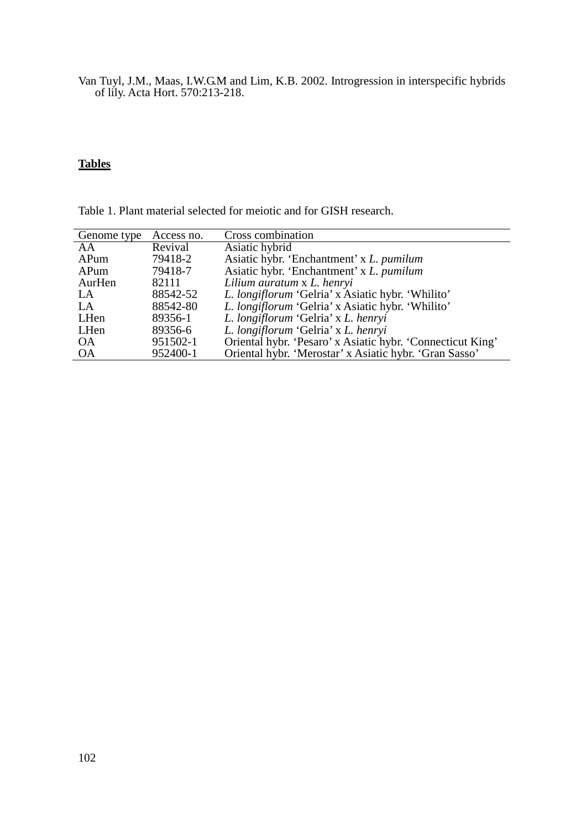Van Tuyl, J.M., Maas, I.W.G.M and Lim, K.B. 2002. Introgression in interspecific hybrids of lily. Acta Hort. 570:213-218.

# **Tables**

| Genome type | Access no. | Cross combination                                          |
|-------------|------------|------------------------------------------------------------|
| AA          | Revival    | Asiatic hybrid                                             |
| APum        | 79418-2    | Asiatic hybr. 'Enchantment' x L. pumilum                   |
| APum        | 79418-7    | Asiatic hybr. 'Enchantment' x L. pumilum                   |
| AurHen      | 82111      | Lilium auratum x L. henryi                                 |
| LA          | 88542-52   | L. longiflorum 'Gelria' x Asiatic hybr. 'Whilito'          |
| LA          | 88542-80   | L. longiflorum 'Gelria' x Asiatic hybr. 'Whilito'          |
| LHen        | 89356-1    | L. longiflorum 'Gelria' x L. henryi                        |
| LHen        | 89356-6    | L. longiflorum 'Gelria' x L. henryi                        |
| <b>OA</b>   | 951502-1   | Oriental hybr. 'Pesaro' x Asiatic hybr. 'Connecticut King' |
| <b>OA</b>   | 952400-1   | Oriental hybr. 'Merostar' x Asiatic hybr. 'Gran Sasso'     |

Table 1. Plant material selected for meiotic and for GISH research.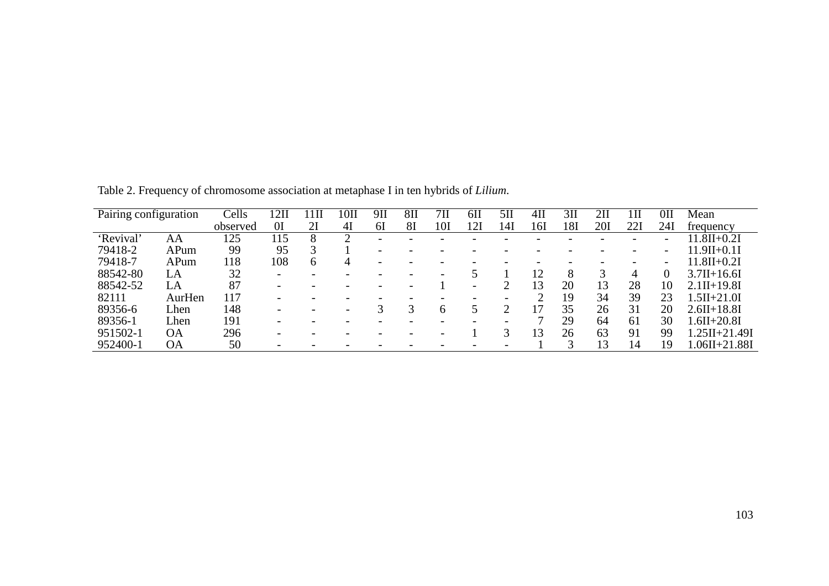| Pairing configuration |           | Cells    | 2I             | $1$ II       | $10\mathrm{II}$ | 9П                       | 8 <sub>II</sub> | 7П  | 6H  | 5H  | $4$ II | 3 <sub>II</sub> | 2П  |     | 0II                      | Mean              |
|-----------------------|-----------|----------|----------------|--------------|-----------------|--------------------------|-----------------|-----|-----|-----|--------|-----------------|-----|-----|--------------------------|-------------------|
|                       |           | observed | 0 <sup>I</sup> | 2Ι           | 4I              | 61                       | 81              | 101 | 121 | 141 | 16I    | 181             | 20I | 221 | 24I                      | trequency         |
| Revival'              | ΑA        | 125      | 115            |              |                 | $\overline{\phantom{0}}$ |                 |     |     |     |        |                 |     |     | $\overline{\phantom{0}}$ | $.8II + 0.2I$     |
| 79418-2               | APum      | 99       | 95             |              |                 | $\overline{\phantom{0}}$ |                 |     |     |     |        |                 |     |     | $\overline{\phantom{0}}$ | $11.9II + 0.1I$   |
| 79418-7               | APum      | 118      | 108            | <sub>b</sub> | 4               |                          |                 |     |     |     |        |                 |     |     | $\overline{\phantom{0}}$ | $11.8H + 0.2I$    |
| 88542-80              | LA        | 32       |                |              |                 |                          |                 |     |     |     | 12     | 8               |     | 4   |                          | $3.7II + 16.6I$   |
| 88542-52              | LA        | 87       |                |              |                 |                          |                 |     |     |     | 13     | 20              | 13  | 28  | 10                       | $2.1II+19.8I$     |
| 82111                 | AurHen    | 117      |                |              |                 |                          |                 |     |     |     |        | 19              | 34  | 39  | 23                       | $1.5II + 21.0I$   |
| 89356-6               | Lhen      | 148      |                |              |                 |                          |                 |     |     |     |        | 35              | 26  | 31  | 20                       | $2.6II + 18.8I$   |
| 89356-1               | Lhen      | 191      |                |              |                 |                          |                 |     |     |     |        | 29              | 64  | 61  | 30                       | $1.6II + 20.8I$   |
| 951502-1              | <b>OA</b> | 296      |                |              |                 |                          |                 |     |     |     | 13     | 26              | 63  | 91  | 99                       | $1.25II + 21.49I$ |
| 952400-1              | <b>OA</b> | 50       |                |              |                 |                          |                 |     |     |     |        |                 |     |     | 19                       | $.06II + 21.88I$  |

Table 2. Frequency of chromosome association at metaphase I in ten hybrids of *Lilium*.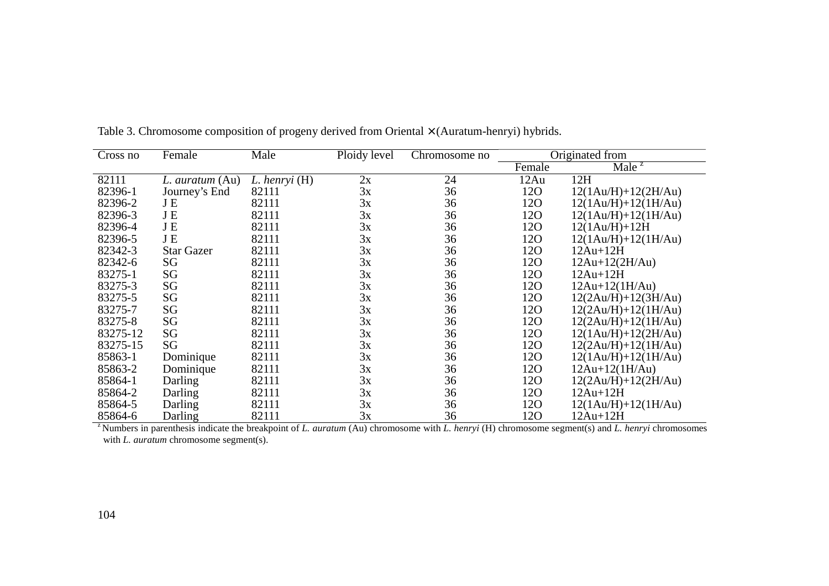| Cross no | Female            | Male          | Ploidy level | Chromosome no |        | Originated from            |
|----------|-------------------|---------------|--------------|---------------|--------|----------------------------|
|          |                   |               |              |               | Female | $\text{Male}^{\mathsf{z}}$ |
| 82111    | L. auratum (Au)   | L. henryi (H) | 2x           | 24            | 12Au   | 12H                        |
| 82396-1  | Journey's End     | 82111         | 3x           | 36            | 120    | $12(1Au/H)+12(2H/Au)$      |
| 82396-2  | J E               | 82111         | 3x           | 36            | 120    | $12(1Au/H)+12(1H/Au)$      |
| 82396-3  | JE                | 82111         | 3x           | 36            | 120    | $12(1Au/H)+12(1H/Au)$      |
| 82396-4  | JE                | 82111         | 3x           | 36            | 120    | $12(1Au/H)+12H$            |
| 82396-5  | JE                | 82111         | 3x           | 36            | 120    | $12(1Au/H)+12(1H/Au)$      |
| 82342-3  | <b>Star Gazer</b> | 82111         | 3x           | 36            | 120    | $12Au+12H$                 |
| 82342-6  | SG                | 82111         | 3x           | 36            | 120    | $12Au+12(2H/Au)$           |
| 83275-1  | SG                | 82111         | 3x           | 36            | 120    | $12Au+12H$                 |
| 83275-3  | SG                | 82111         | 3x           | 36            | 120    | $12Au+12(1H/Au)$           |
| 83275-5  | SG                | 82111         | 3x           | 36            | 120    | $12(2Au/H)+12(3H/Au)$      |
| 83275-7  | SG                | 82111         | 3x           | 36            | 120    | $12(2Au/H)+12(1H/Au)$      |
| 83275-8  | SG                | 82111         | 3x           | 36            | 120    | $12(2Au/H)+12(1H/Au)$      |
| 83275-12 | SG                | 82111         | 3x           | 36            | 120    | $12(1Au/H)+12(2H/Au)$      |
| 83275-15 | SG                | 82111         | 3x           | 36            | 120    | $12(2Au/H)+12(1H/Au)$      |
| 85863-1  | Dominique         | 82111         | 3x           | 36            | 120    | $12(1Au/H)+12(1H/Au)$      |
| 85863-2  | Dominique         | 82111         | 3x           | 36            | 120    | $12Au+12(1H/Au)$           |
| 85864-1  | Darling           | 82111         | 3x           | 36            | 12O    | $12(2Au/H)+12(2H/Au)$      |
| 85864-2  | Darling           | 82111         | 3x           | 36            | 120    | $12Au+12H$                 |
| 85864-5  | Darling           | 82111         | 3x           | 36            | 120    | $12(1Au/H)+12(1H/Au)$      |
| 85864-6  | Darling           | 82111         | 3x           | 36            | 120    | $12Au+12H$                 |

Table 3. Chromosome composition of progeny derived from Oriental × (Auratum-henryi) hybrids.

z Numbers in parenthesis indicate the breakpoint of *L. auratum* (Au) chromosome with *L. henryi* (H) chromosome segment(s) and *L. henryi* chromosomes with *L. auratum* chromosome segment(s).